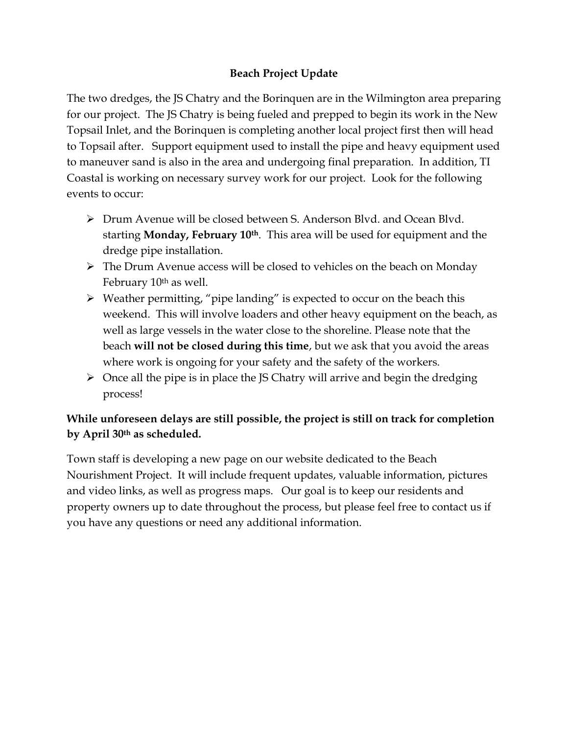## **Beach Project Update**

The two dredges, the JS Chatry and the Borinquen are in the Wilmington area preparing for our project. The JS Chatry is being fueled and prepped to begin its work in the New Topsail Inlet, and the Borinquen is completing another local project first then will head to Topsail after. Support equipment used to install the pipe and heavy equipment used to maneuver sand is also in the area and undergoing final preparation. In addition, TI Coastal is working on necessary survey work for our project. Look for the following events to occur:

- ➢ Drum Avenue will be closed between S. Anderson Blvd. and Ocean Blvd. starting **Monday, February 10th**. This area will be used for equipment and the dredge pipe installation.
- ➢ The Drum Avenue access will be closed to vehicles on the beach on Monday February 10<sup>th</sup> as well.
- ➢ Weather permitting, "pipe landing" is expected to occur on the beach this weekend. This will involve loaders and other heavy equipment on the beach, as well as large vessels in the water close to the shoreline. Please note that the beach **will not be closed during this time**, but we ask that you avoid the areas where work is ongoing for your safety and the safety of the workers.
- $\triangleright$  Once all the pipe is in place the JS Chatry will arrive and begin the dredging process!

## **While unforeseen delays are still possible, the project is still on track for completion by April 30th as scheduled.**

Town staff is developing a new page on our website dedicated to the Beach Nourishment Project. It will include frequent updates, valuable information, pictures and video links, as well as progress maps. Our goal is to keep our residents and property owners up to date throughout the process, but please feel free to contact us if you have any questions or need any additional information.